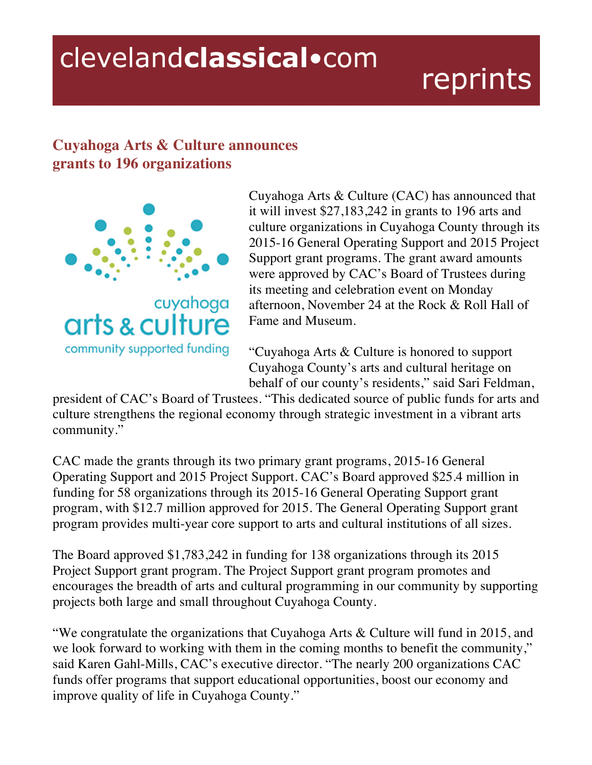## clevelandclassical.com

## reprints

## **Cuyahoga Arts & Culture announces grants to 196 organizations**



Cuyahoga Arts & Culture (CAC) has announced that it will invest \$27,183,242 in grants to 196 arts and culture organizations in Cuyahoga County through its 2015-16 General Operating Support and 2015 Project Support grant programs. The grant award amounts were approved by CAC's Board of Trustees during its meeting and celebration event on Monday afternoon, November 24 at the Rock & Roll Hall of Fame and Museum.

"Cuyahoga Arts & Culture is honored to support Cuyahoga County's arts and cultural heritage on behalf of our county's residents," said Sari Feldman,

president of CAC's Board of Trustees. "This dedicated source of public funds for arts and culture strengthens the regional economy through strategic investment in a vibrant arts community."

CAC made the grants through its two primary grant programs, 2015-16 General Operating Support and 2015 Project Support. CAC's Board approved \$25.4 million in funding for 58 organizations through its 2015-16 General Operating Support grant program, with \$12.7 million approved for 2015. The General Operating Support grant program provides multi-year core support to arts and cultural institutions of all sizes.

The Board approved \$1,783,242 in funding for 138 organizations through its 2015 Project Support grant program. The Project Support grant program promotes and encourages the breadth of arts and cultural programming in our community by supporting projects both large and small throughout Cuyahoga County.

"We congratulate the organizations that Cuyahoga Arts & Culture will fund in 2015, and we look forward to working with them in the coming months to benefit the community," said Karen Gahl-Mills, CAC's executive director. "The nearly 200 organizations CAC funds offer programs that support educational opportunities, boost our economy and improve quality of life in Cuyahoga County."